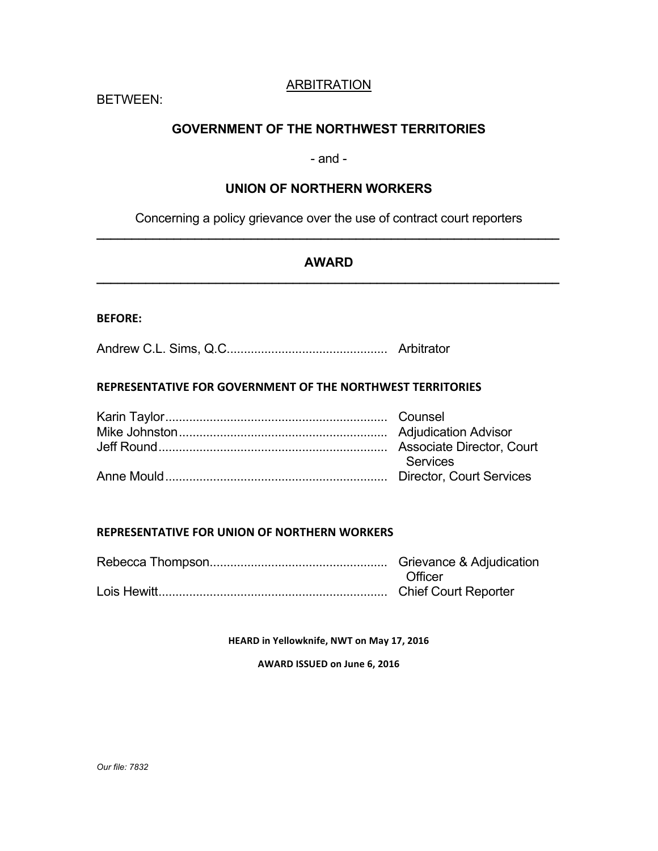# ARBITRATION

BETWEEN:

# **GOVERNMENT OF THE NORTHWEST TERRITORIES**

## - and -

## **UNION OF NORTHERN WORKERS**

Concerning a policy grievance over the use of contract court reporters **\_\_\_\_\_\_\_\_\_\_\_\_\_\_\_\_\_\_\_\_\_\_\_\_\_\_\_\_\_\_\_\_\_\_\_\_\_\_\_\_\_\_\_\_\_\_\_\_\_\_\_\_\_\_\_\_\_\_\_\_\_\_\_\_\_\_**

# **AWARD \_\_\_\_\_\_\_\_\_\_\_\_\_\_\_\_\_\_\_\_\_\_\_\_\_\_\_\_\_\_\_\_\_\_\_\_\_\_\_\_\_\_\_\_\_\_\_\_\_\_\_\_\_\_\_\_\_\_\_\_\_\_\_\_\_\_**

## **BEFORE:**

Andrew C.L. Sims, Q.C............................................... Arbitrator

## **REPRESENTATIVE FOR GOVERNMENT OF THE NORTHWEST TERRITORIES**

| Services |
|----------|
|          |

## **REPRESENTATIVE FOR UNION OF NORTHERN WORKERS**

Rebecca Thompson.................................................... Grievance & Adjudication **Officer** Lois Hewitt................................................................... Chief Court Reporter

**HEARD** in Yellowknife, NWT on May 17, 2016

**AWARD ISSUED on June 6, 2016**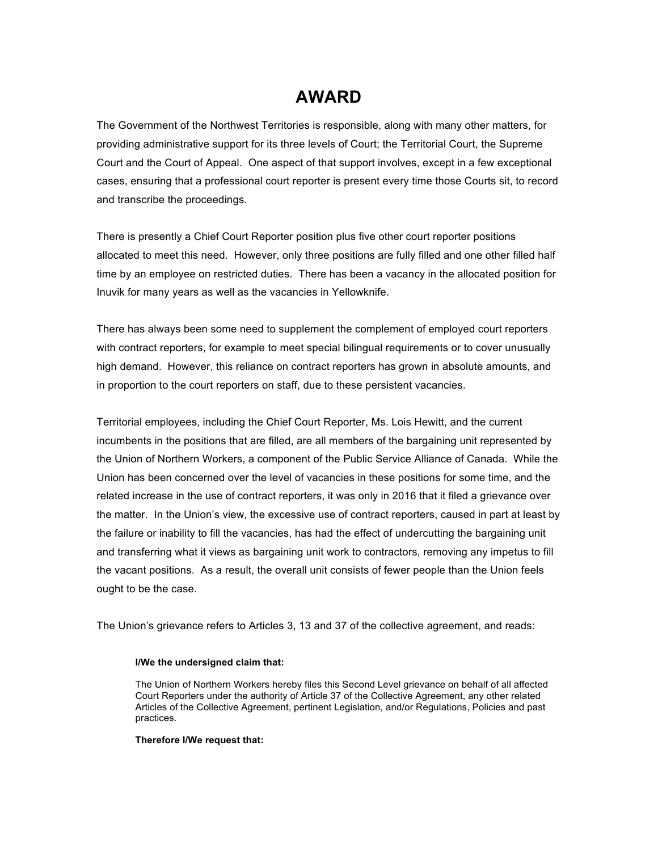# **AWARD**

The Government of the Northwest Territories is responsible, along with many other matters, for providing administrative support for its three levels of Court; the Territorial Court, the Supreme Court and the Court of Appeal. One aspect of that support involves, except in a few exceptional cases, ensuring that a professional court reporter is present every time those Courts sit, to record and transcribe the proceedings.

There is presently a Chief Court Reporter position plus five other court reporter positions allocated to meet this need. However, only three positions are fully filled and one other filled half time by an employee on restricted duties. There has been a vacancy in the allocated position for Inuvik for many years as well as the vacancies in Yellowknife.

There has always been some need to supplement the complement of employed court reporters with contract reporters, for example to meet special bilingual requirements or to cover unusually high demand. However, this reliance on contract reporters has grown in absolute amounts, and in proportion to the court reporters on staff, due to these persistent vacancies.

Territorial employees, including the Chief Court Reporter, Ms. Lois Hewitt, and the current incumbents in the positions that are filled, are all members of the bargaining unit represented by the Union of Northern Workers, a component of the Public Service Alliance of Canada. While the Union has been concerned over the level of vacancies in these positions for some time, and the related increase in the use of contract reporters, it was only in 2016 that it filed a grievance over the matter. In the Union's view, the excessive use of contract reporters, caused in part at least by the failure or inability to fill the vacancies, has had the effect of undercutting the bargaining unit and transferring what it views as bargaining unit work to contractors, removing any impetus to fill the vacant positions. As a result, the overall unit consists of fewer people than the Union feels ought to be the case.

The Union's grievance refers to Articles 3, 13 and 37 of the collective agreement, and reads:

#### **I/We the undersigned claim that:**

The Union of Northern Workers hereby files this Second Level grievance on behalf of all affected Court Reporters under the authority of Article 37 of the Collective Agreement, any other related Articles of the Collective Agreement, pertinent Legislation, and/or Regulations, Policies and past practices.

#### **Therefore I/We request that:**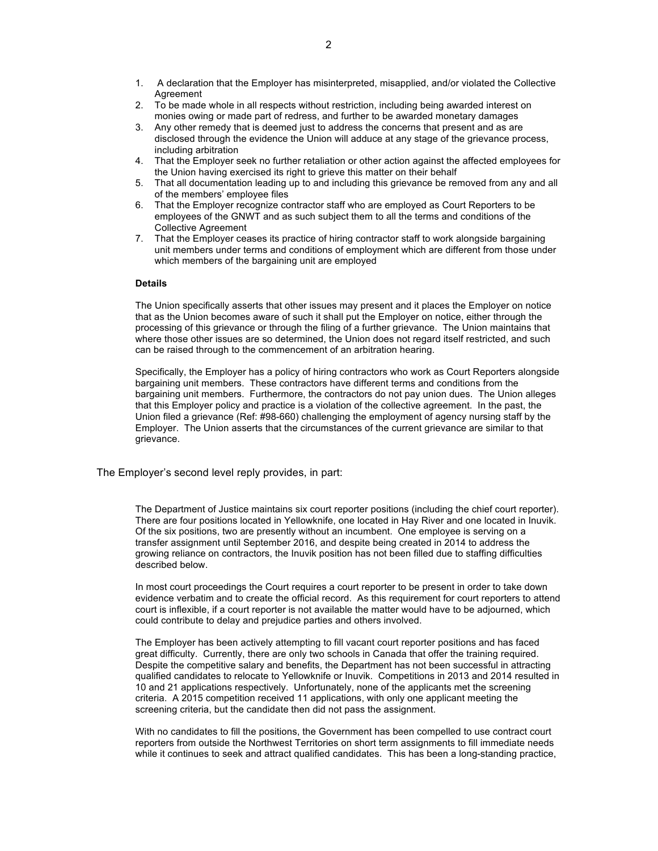- 2. To be made whole in all respects without restriction, including being awarded interest on monies owing or made part of redress, and further to be awarded monetary damages
- 3. Any other remedy that is deemed just to address the concerns that present and as are disclosed through the evidence the Union will adduce at any stage of the grievance process, including arbitration
- 4. That the Employer seek no further retaliation or other action against the affected employees for the Union having exercised its right to grieve this matter on their behalf
- 5. That all documentation leading up to and including this grievance be removed from any and all of the members' employee files
- 6. That the Employer recognize contractor staff who are employed as Court Reporters to be employees of the GNWT and as such subject them to all the terms and conditions of the Collective Agreement
- 7. That the Employer ceases its practice of hiring contractor staff to work alongside bargaining unit members under terms and conditions of employment which are different from those under which members of the bargaining unit are employed

#### **Details**

The Union specifically asserts that other issues may present and it places the Employer on notice that as the Union becomes aware of such it shall put the Employer on notice, either through the processing of this grievance or through the filing of a further grievance. The Union maintains that where those other issues are so determined, the Union does not regard itself restricted, and such can be raised through to the commencement of an arbitration hearing.

Specifically, the Employer has a policy of hiring contractors who work as Court Reporters alongside bargaining unit members. These contractors have different terms and conditions from the bargaining unit members. Furthermore, the contractors do not pay union dues. The Union alleges that this Employer policy and practice is a violation of the collective agreement. In the past, the Union filed a grievance (Ref: #98-660) challenging the employment of agency nursing staff by the Employer. The Union asserts that the circumstances of the current grievance are similar to that grievance.

#### The Employer's second level reply provides, in part:

The Department of Justice maintains six court reporter positions (including the chief court reporter). There are four positions located in Yellowknife, one located in Hay River and one located in Inuvik. Of the six positions, two are presently without an incumbent. One employee is serving on a transfer assignment until September 2016, and despite being created in 2014 to address the growing reliance on contractors, the Inuvik position has not been filled due to staffing difficulties described below.

In most court proceedings the Court requires a court reporter to be present in order to take down evidence verbatim and to create the official record. As this requirement for court reporters to attend court is inflexible, if a court reporter is not available the matter would have to be adjourned, which could contribute to delay and prejudice parties and others involved.

The Employer has been actively attempting to fill vacant court reporter positions and has faced great difficulty. Currently, there are only two schools in Canada that offer the training required. Despite the competitive salary and benefits, the Department has not been successful in attracting qualified candidates to relocate to Yellowknife or Inuvik. Competitions in 2013 and 2014 resulted in 10 and 21 applications respectively. Unfortunately, none of the applicants met the screening criteria. A 2015 competition received 11 applications, with only one applicant meeting the screening criteria, but the candidate then did not pass the assignment.

With no candidates to fill the positions, the Government has been compelled to use contract court reporters from outside the Northwest Territories on short term assignments to fill immediate needs while it continues to seek and attract qualified candidates. This has been a long-standing practice,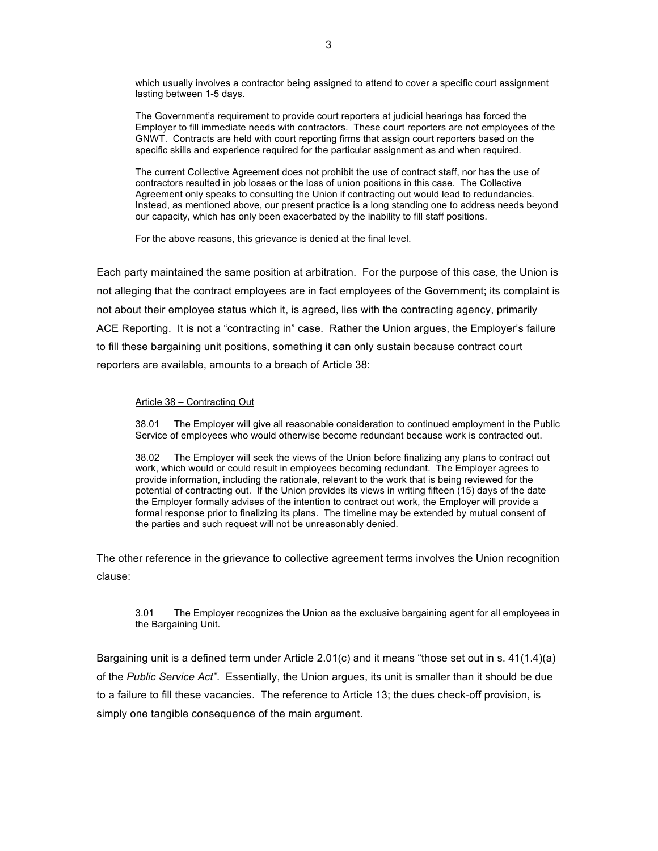which usually involves a contractor being assigned to attend to cover a specific court assignment lasting between 1-5 days.

The Government's requirement to provide court reporters at judicial hearings has forced the Employer to fill immediate needs with contractors. These court reporters are not employees of the GNWT. Contracts are held with court reporting firms that assign court reporters based on the specific skills and experience required for the particular assignment as and when required.

The current Collective Agreement does not prohibit the use of contract staff, nor has the use of contractors resulted in job losses or the loss of union positions in this case. The Collective Agreement only speaks to consulting the Union if contracting out would lead to redundancies. Instead, as mentioned above, our present practice is a long standing one to address needs beyond our capacity, which has only been exacerbated by the inability to fill staff positions.

For the above reasons, this grievance is denied at the final level.

Each party maintained the same position at arbitration. For the purpose of this case, the Union is not alleging that the contract employees are in fact employees of the Government; its complaint is not about their employee status which it, is agreed, lies with the contracting agency, primarily ACE Reporting. It is not a "contracting in" case. Rather the Union argues, the Employer's failure to fill these bargaining unit positions, something it can only sustain because contract court reporters are available, amounts to a breach of Article 38:

#### Article 38 – Contracting Out

38.01 The Employer will give all reasonable consideration to continued employment in the Public Service of employees who would otherwise become redundant because work is contracted out.

38.02 The Employer will seek the views of the Union before finalizing any plans to contract out work, which would or could result in employees becoming redundant. The Employer agrees to provide information, including the rationale, relevant to the work that is being reviewed for the potential of contracting out. If the Union provides its views in writing fifteen (15) days of the date the Employer formally advises of the intention to contract out work, the Employer will provide a formal response prior to finalizing its plans. The timeline may be extended by mutual consent of the parties and such request will not be unreasonably denied.

The other reference in the grievance to collective agreement terms involves the Union recognition clause:

#### 3.01 The Employer recognizes the Union as the exclusive bargaining agent for all employees in the Bargaining Unit.

Bargaining unit is a defined term under Article 2.01(c) and it means "those set out in s. 41(1.4)(a) of the *Public Service Act"*. Essentially, the Union argues, its unit is smaller than it should be due to a failure to fill these vacancies. The reference to Article 13; the dues check-off provision, is simply one tangible consequence of the main argument.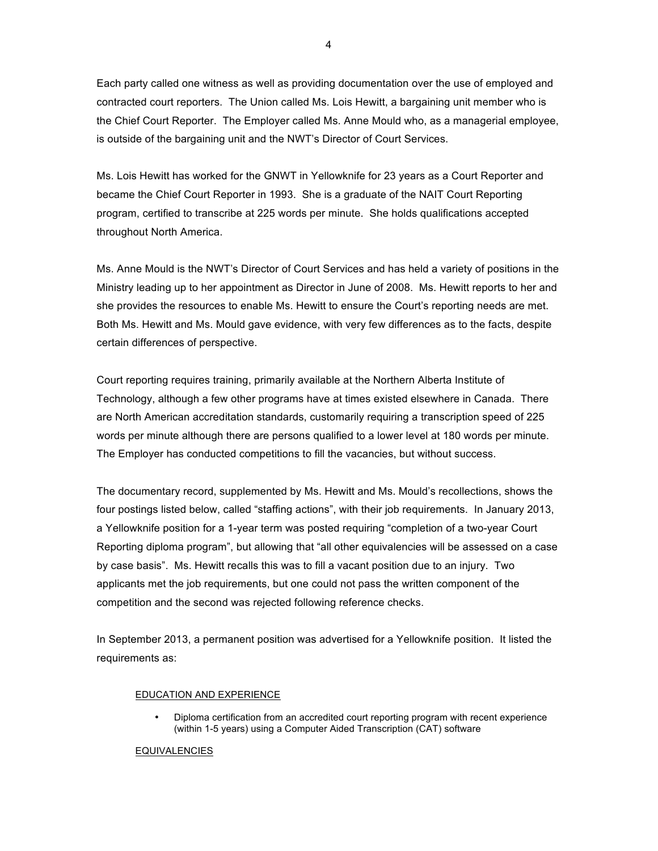Each party called one witness as well as providing documentation over the use of employed and contracted court reporters. The Union called Ms. Lois Hewitt, a bargaining unit member who is the Chief Court Reporter. The Employer called Ms. Anne Mould who, as a managerial employee, is outside of the bargaining unit and the NWT's Director of Court Services.

Ms. Lois Hewitt has worked for the GNWT in Yellowknife for 23 years as a Court Reporter and became the Chief Court Reporter in 1993. She is a graduate of the NAIT Court Reporting program, certified to transcribe at 225 words per minute. She holds qualifications accepted throughout North America.

Ms. Anne Mould is the NWT's Director of Court Services and has held a variety of positions in the Ministry leading up to her appointment as Director in June of 2008. Ms. Hewitt reports to her and she provides the resources to enable Ms. Hewitt to ensure the Court's reporting needs are met. Both Ms. Hewitt and Ms. Mould gave evidence, with very few differences as to the facts, despite certain differences of perspective.

Court reporting requires training, primarily available at the Northern Alberta Institute of Technology, although a few other programs have at times existed elsewhere in Canada. There are North American accreditation standards, customarily requiring a transcription speed of 225 words per minute although there are persons qualified to a lower level at 180 words per minute. The Employer has conducted competitions to fill the vacancies, but without success.

The documentary record, supplemented by Ms. Hewitt and Ms. Mould's recollections, shows the four postings listed below, called "staffing actions", with their job requirements. In January 2013, a Yellowknife position for a 1-year term was posted requiring "completion of a two-year Court Reporting diploma program", but allowing that "all other equivalencies will be assessed on a case by case basis". Ms. Hewitt recalls this was to fill a vacant position due to an injury. Two applicants met the job requirements, but one could not pass the written component of the competition and the second was rejected following reference checks.

In September 2013, a permanent position was advertised for a Yellowknife position. It listed the requirements as:

#### EDUCATION AND EXPERIENCE

• Diploma certification from an accredited court reporting program with recent experience (within 1-5 years) using a Computer Aided Transcription (CAT) software

#### **EQUIVALENCIES**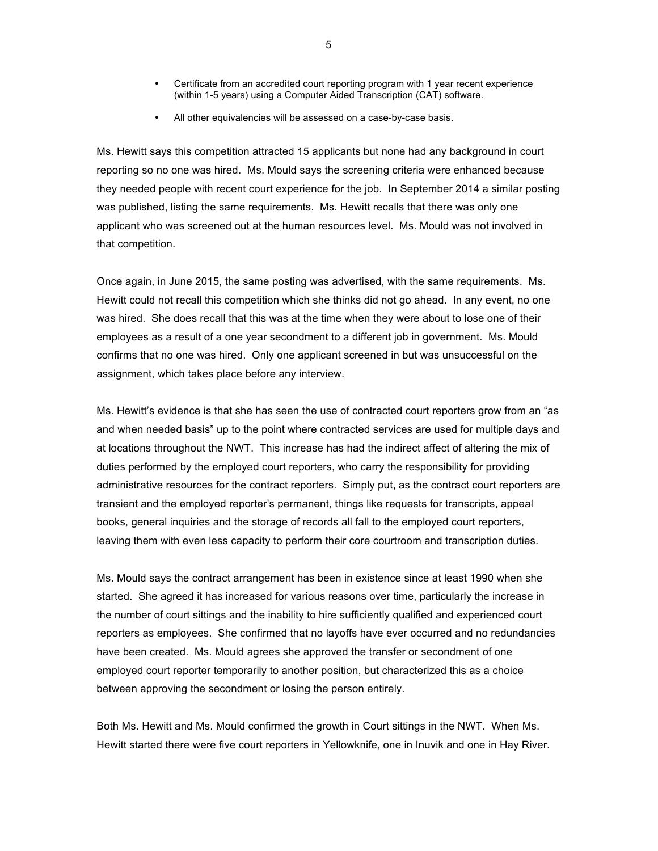- Certificate from an accredited court reporting program with 1 year recent experience (within 1-5 years) using a Computer Aided Transcription (CAT) software.
- All other equivalencies will be assessed on a case-by-case basis.

Ms. Hewitt says this competition attracted 15 applicants but none had any background in court reporting so no one was hired. Ms. Mould says the screening criteria were enhanced because they needed people with recent court experience for the job. In September 2014 a similar posting was published, listing the same requirements. Ms. Hewitt recalls that there was only one applicant who was screened out at the human resources level. Ms. Mould was not involved in that competition.

Once again, in June 2015, the same posting was advertised, with the same requirements. Ms. Hewitt could not recall this competition which she thinks did not go ahead. In any event, no one was hired. She does recall that this was at the time when they were about to lose one of their employees as a result of a one year secondment to a different job in government. Ms. Mould confirms that no one was hired. Only one applicant screened in but was unsuccessful on the assignment, which takes place before any interview.

Ms. Hewitt's evidence is that she has seen the use of contracted court reporters grow from an "as and when needed basis" up to the point where contracted services are used for multiple days and at locations throughout the NWT. This increase has had the indirect affect of altering the mix of duties performed by the employed court reporters, who carry the responsibility for providing administrative resources for the contract reporters. Simply put, as the contract court reporters are transient and the employed reporter's permanent, things like requests for transcripts, appeal books, general inquiries and the storage of records all fall to the employed court reporters, leaving them with even less capacity to perform their core courtroom and transcription duties.

Ms. Mould says the contract arrangement has been in existence since at least 1990 when she started. She agreed it has increased for various reasons over time, particularly the increase in the number of court sittings and the inability to hire sufficiently qualified and experienced court reporters as employees. She confirmed that no layoffs have ever occurred and no redundancies have been created. Ms. Mould agrees she approved the transfer or secondment of one employed court reporter temporarily to another position, but characterized this as a choice between approving the secondment or losing the person entirely.

Both Ms. Hewitt and Ms. Mould confirmed the growth in Court sittings in the NWT. When Ms. Hewitt started there were five court reporters in Yellowknife, one in Inuvik and one in Hay River.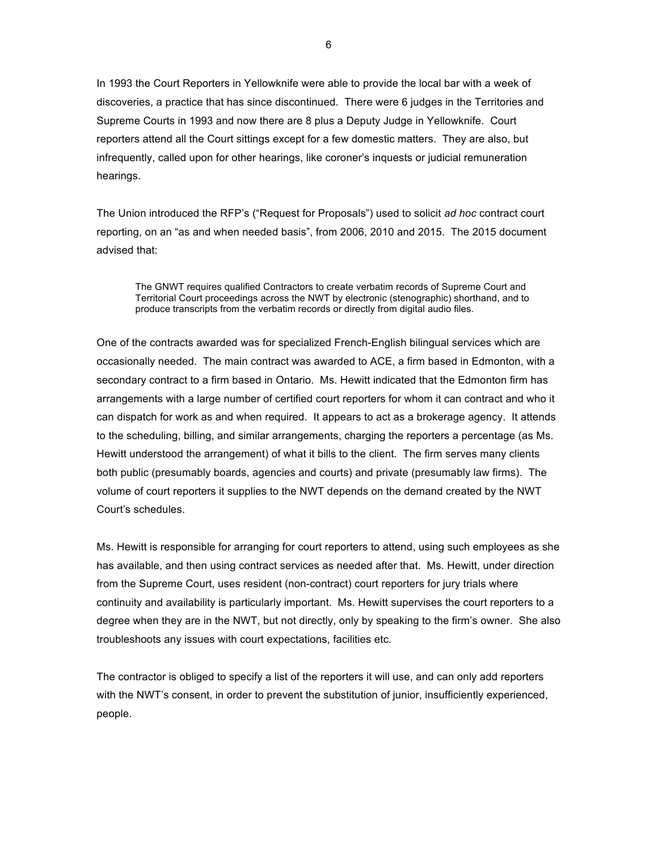In 1993 the Court Reporters in Yellowknife were able to provide the local bar with a week of discoveries, a practice that has since discontinued. There were 6 judges in the Territories and Supreme Courts in 1993 and now there are 8 plus a Deputy Judge in Yellowknife. Court reporters attend all the Court sittings except for a few domestic matters. They are also, but infrequently, called upon for other hearings, like coroner's inquests or judicial remuneration hearings.

The Union introduced the RFP's ("Request for Proposals") used to solicit *ad hoc* contract court reporting, on an "as and when needed basis", from 2006, 2010 and 2015. The 2015 document advised that:

The GNWT requires qualified Contractors to create verbatim records of Supreme Court and Territorial Court proceedings across the NWT by electronic (stenographic) shorthand, and to produce transcripts from the verbatim records or directly from digital audio files.

One of the contracts awarded was for specialized French-English bilingual services which are occasionally needed. The main contract was awarded to ACE, a firm based in Edmonton, with a secondary contract to a firm based in Ontario. Ms. Hewitt indicated that the Edmonton firm has arrangements with a large number of certified court reporters for whom it can contract and who it can dispatch for work as and when required. It appears to act as a brokerage agency. It attends to the scheduling, billing, and similar arrangements, charging the reporters a percentage (as Ms. Hewitt understood the arrangement) of what it bills to the client. The firm serves many clients both public (presumably boards, agencies and courts) and private (presumably law firms). The volume of court reporters it supplies to the NWT depends on the demand created by the NWT Court's schedules.

Ms. Hewitt is responsible for arranging for court reporters to attend, using such employees as she has available, and then using contract services as needed after that. Ms. Hewitt, under direction from the Supreme Court, uses resident (non-contract) court reporters for jury trials where continuity and availability is particularly important. Ms. Hewitt supervises the court reporters to a degree when they are in the NWT, but not directly, only by speaking to the firm's owner. She also troubleshoots any issues with court expectations, facilities etc.

The contractor is obliged to specify a list of the reporters it will use, and can only add reporters with the NWT's consent, in order to prevent the substitution of junior, insufficiently experienced, people.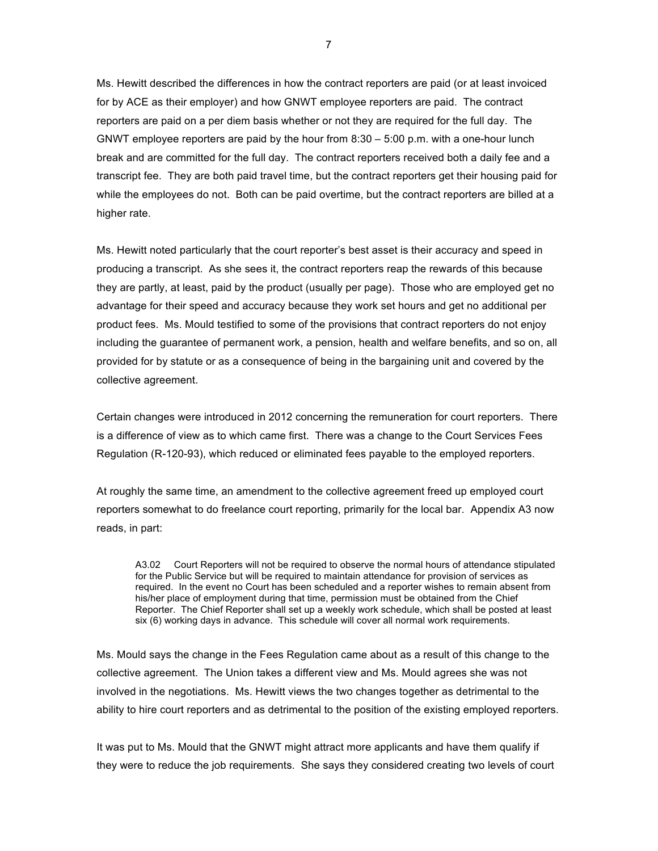Ms. Hewitt described the differences in how the contract reporters are paid (or at least invoiced for by ACE as their employer) and how GNWT employee reporters are paid. The contract reporters are paid on a per diem basis whether or not they are required for the full day. The GNWT employee reporters are paid by the hour from  $8:30 - 5:00$  p.m. with a one-hour lunch break and are committed for the full day. The contract reporters received both a daily fee and a transcript fee. They are both paid travel time, but the contract reporters get their housing paid for while the employees do not. Both can be paid overtime, but the contract reporters are billed at a higher rate.

Ms. Hewitt noted particularly that the court reporter's best asset is their accuracy and speed in producing a transcript. As she sees it, the contract reporters reap the rewards of this because they are partly, at least, paid by the product (usually per page). Those who are employed get no advantage for their speed and accuracy because they work set hours and get no additional per product fees. Ms. Mould testified to some of the provisions that contract reporters do not enjoy including the guarantee of permanent work, a pension, health and welfare benefits, and so on, all provided for by statute or as a consequence of being in the bargaining unit and covered by the collective agreement.

Certain changes were introduced in 2012 concerning the remuneration for court reporters. There is a difference of view as to which came first. There was a change to the Court Services Fees Regulation (R-120-93), which reduced or eliminated fees payable to the employed reporters.

At roughly the same time, an amendment to the collective agreement freed up employed court reporters somewhat to do freelance court reporting, primarily for the local bar. Appendix A3 now reads, in part:

A3.02 Court Reporters will not be required to observe the normal hours of attendance stipulated for the Public Service but will be required to maintain attendance for provision of services as required. In the event no Court has been scheduled and a reporter wishes to remain absent from his/her place of employment during that time, permission must be obtained from the Chief Reporter. The Chief Reporter shall set up a weekly work schedule, which shall be posted at least six (6) working days in advance. This schedule will cover all normal work requirements.

Ms. Mould says the change in the Fees Regulation came about as a result of this change to the collective agreement. The Union takes a different view and Ms. Mould agrees she was not involved in the negotiations. Ms. Hewitt views the two changes together as detrimental to the ability to hire court reporters and as detrimental to the position of the existing employed reporters.

It was put to Ms. Mould that the GNWT might attract more applicants and have them qualify if they were to reduce the job requirements. She says they considered creating two levels of court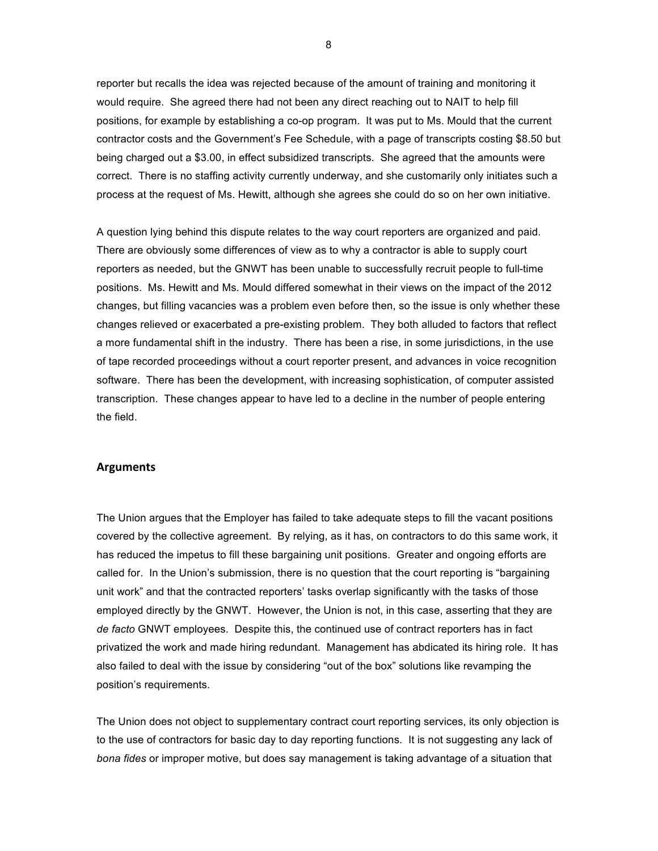reporter but recalls the idea was rejected because of the amount of training and monitoring it would require. She agreed there had not been any direct reaching out to NAIT to help fill positions, for example by establishing a co-op program. It was put to Ms. Mould that the current contractor costs and the Government's Fee Schedule, with a page of transcripts costing \$8.50 but being charged out a \$3.00, in effect subsidized transcripts. She agreed that the amounts were correct. There is no staffing activity currently underway, and she customarily only initiates such a process at the request of Ms. Hewitt, although she agrees she could do so on her own initiative.

A question lying behind this dispute relates to the way court reporters are organized and paid. There are obviously some differences of view as to why a contractor is able to supply court reporters as needed, but the GNWT has been unable to successfully recruit people to full-time positions. Ms. Hewitt and Ms. Mould differed somewhat in their views on the impact of the 2012 changes, but filling vacancies was a problem even before then, so the issue is only whether these changes relieved or exacerbated a pre-existing problem. They both alluded to factors that reflect a more fundamental shift in the industry. There has been a rise, in some jurisdictions, in the use of tape recorded proceedings without a court reporter present, and advances in voice recognition software. There has been the development, with increasing sophistication, of computer assisted transcription. These changes appear to have led to a decline in the number of people entering the field.

### **Arguments**

The Union argues that the Employer has failed to take adequate steps to fill the vacant positions covered by the collective agreement. By relying, as it has, on contractors to do this same work, it has reduced the impetus to fill these bargaining unit positions. Greater and ongoing efforts are called for. In the Union's submission, there is no question that the court reporting is "bargaining unit work" and that the contracted reporters' tasks overlap significantly with the tasks of those employed directly by the GNWT. However, the Union is not, in this case, asserting that they are *de facto* GNWT employees. Despite this, the continued use of contract reporters has in fact privatized the work and made hiring redundant. Management has abdicated its hiring role. It has also failed to deal with the issue by considering "out of the box" solutions like revamping the position's requirements.

The Union does not object to supplementary contract court reporting services, its only objection is to the use of contractors for basic day to day reporting functions. It is not suggesting any lack of *bona fides* or improper motive, but does say management is taking advantage of a situation that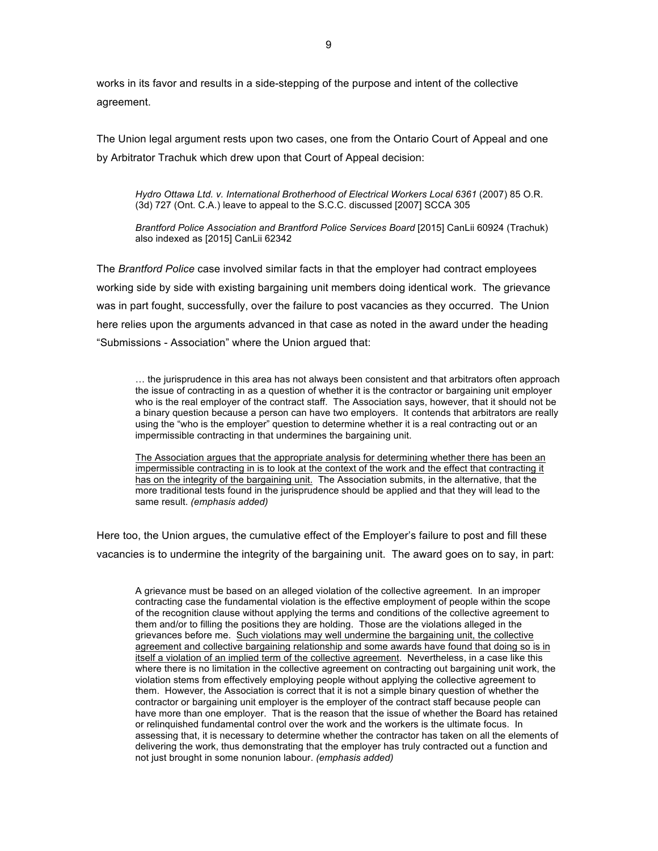works in its favor and results in a side-stepping of the purpose and intent of the collective agreement.

The Union legal argument rests upon two cases, one from the Ontario Court of Appeal and one by Arbitrator Trachuk which drew upon that Court of Appeal decision:

*Hydro Ottawa Ltd. v. International Brotherhood of Electrical Workers Local 6361* (2007) 85 O.R. (3d) 727 (Ont. C.A.) leave to appeal to the S.C.C. discussed [2007] SCCA 305

*Brantford Police Association and Brantford Police Services Board* [2015] CanLii 60924 (Trachuk) also indexed as [2015] CanLii 62342

The *Brantford Police* case involved similar facts in that the employer had contract employees working side by side with existing bargaining unit members doing identical work. The grievance was in part fought, successfully, over the failure to post vacancies as they occurred. The Union here relies upon the arguments advanced in that case as noted in the award under the heading "Submissions - Association" where the Union argued that:

… the jurisprudence in this area has not always been consistent and that arbitrators often approach the issue of contracting in as a question of whether it is the contractor or bargaining unit employer who is the real employer of the contract staff. The Association says, however, that it should not be a binary question because a person can have two employers. It contends that arbitrators are really using the "who is the employer" question to determine whether it is a real contracting out or an impermissible contracting in that undermines the bargaining unit.

The Association argues that the appropriate analysis for determining whether there has been an impermissible contracting in is to look at the context of the work and the effect that contracting it has on the integrity of the bargaining unit. The Association submits, in the alternative, that the more traditional tests found in the jurisprudence should be applied and that they will lead to the same result. *(emphasis added)*

Here too, the Union argues, the cumulative effect of the Employer's failure to post and fill these vacancies is to undermine the integrity of the bargaining unit. The award goes on to say, in part:

A grievance must be based on an alleged violation of the collective agreement. In an improper contracting case the fundamental violation is the effective employment of people within the scope of the recognition clause without applying the terms and conditions of the collective agreement to them and/or to filling the positions they are holding. Those are the violations alleged in the grievances before me. Such violations may well undermine the bargaining unit, the collective agreement and collective bargaining relationship and some awards have found that doing so is in itself a violation of an implied term of the collective agreement. Nevertheless, in a case like this where there is no limitation in the collective agreement on contracting out bargaining unit work, the violation stems from effectively employing people without applying the collective agreement to them. However, the Association is correct that it is not a simple binary question of whether the contractor or bargaining unit employer is the employer of the contract staff because people can have more than one employer. That is the reason that the issue of whether the Board has retained or relinquished fundamental control over the work and the workers is the ultimate focus. In assessing that, it is necessary to determine whether the contractor has taken on all the elements of delivering the work, thus demonstrating that the employer has truly contracted out a function and not just brought in some nonunion labour. *(emphasis added)*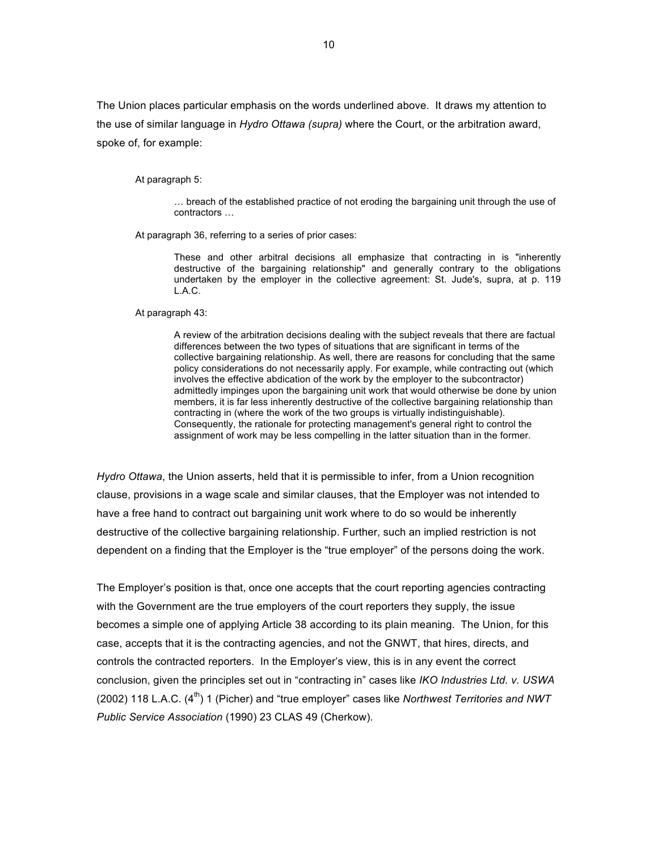The Union places particular emphasis on the words underlined above. It draws my attention to the use of similar language in *Hydro Ottawa (supra)* where the Court, or the arbitration award, spoke of, for example:

At paragraph 5:

… breach of the established practice of not eroding the bargaining unit through the use of contractors …

At paragraph 36, referring to a series of prior cases:

These and other arbitral decisions all emphasize that contracting in is "inherently destructive of the bargaining relationship" and generally contrary to the obligations undertaken by the employer in the collective agreement: St. Jude's, supra, at p. 119 L.A.C.

At paragraph 43:

A review of the arbitration decisions dealing with the subject reveals that there are factual differences between the two types of situations that are significant in terms of the collective bargaining relationship. As well, there are reasons for concluding that the same policy considerations do not necessarily apply. For example, while contracting out (which involves the effective abdication of the work by the employer to the subcontractor) admittedly impinges upon the bargaining unit work that would otherwise be done by union members, it is far less inherently destructive of the collective bargaining relationship than contracting in (where the work of the two groups is virtually indistinguishable). Consequently, the rationale for protecting management's general right to control the assignment of work may be less compelling in the latter situation than in the former.

*Hydro Ottawa*, the Union asserts, held that it is permissible to infer, from a Union recognition clause, provisions in a wage scale and similar clauses, that the Employer was not intended to have a free hand to contract out bargaining unit work where to do so would be inherently destructive of the collective bargaining relationship. Further, such an implied restriction is not dependent on a finding that the Employer is the "true employer" of the persons doing the work.

The Employer's position is that, once one accepts that the court reporting agencies contracting with the Government are the true employers of the court reporters they supply, the issue becomes a simple one of applying Article 38 according to its plain meaning. The Union, for this case, accepts that it is the contracting agencies, and not the GNWT, that hires, directs, and controls the contracted reporters. In the Employer's view, this is in any event the correct conclusion, given the principles set out in "contracting in" cases like *IKO Industries Ltd. v. USWA* (2002) 118 L.A.C. (4<sup>th</sup>) 1 (Picher) and "true employer" cases like *Northwest Territories and NWT Public Service Association* (1990) 23 CLAS 49 (Cherkow).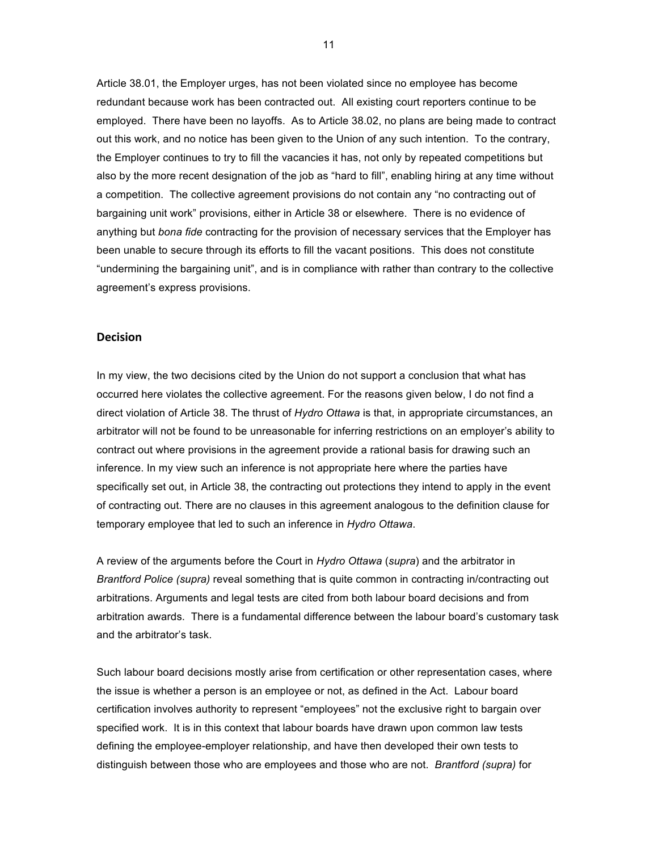Article 38.01, the Employer urges, has not been violated since no employee has become redundant because work has been contracted out. All existing court reporters continue to be employed. There have been no layoffs. As to Article 38.02, no plans are being made to contract out this work, and no notice has been given to the Union of any such intention. To the contrary, the Employer continues to try to fill the vacancies it has, not only by repeated competitions but also by the more recent designation of the job as "hard to fill", enabling hiring at any time without a competition. The collective agreement provisions do not contain any "no contracting out of bargaining unit work" provisions, either in Article 38 or elsewhere. There is no evidence of anything but *bona fide* contracting for the provision of necessary services that the Employer has been unable to secure through its efforts to fill the vacant positions. This does not constitute "undermining the bargaining unit", and is in compliance with rather than contrary to the collective agreement's express provisions.

## **Decision**

In my view, the two decisions cited by the Union do not support a conclusion that what has occurred here violates the collective agreement. For the reasons given below, I do not find a direct violation of Article 38. The thrust of *Hydro Ottawa* is that, in appropriate circumstances, an arbitrator will not be found to be unreasonable for inferring restrictions on an employer's ability to contract out where provisions in the agreement provide a rational basis for drawing such an inference. In my view such an inference is not appropriate here where the parties have specifically set out, in Article 38, the contracting out protections they intend to apply in the event of contracting out. There are no clauses in this agreement analogous to the definition clause for temporary employee that led to such an inference in *Hydro Ottawa*.

A review of the arguments before the Court in *Hydro Ottawa* (*supra*) and the arbitrator in *Brantford Police (supra)* reveal something that is quite common in contracting in/contracting out arbitrations. Arguments and legal tests are cited from both labour board decisions and from arbitration awards. There is a fundamental difference between the labour board's customary task and the arbitrator's task.

Such labour board decisions mostly arise from certification or other representation cases, where the issue is whether a person is an employee or not, as defined in the Act. Labour board certification involves authority to represent "employees" not the exclusive right to bargain over specified work. It is in this context that labour boards have drawn upon common law tests defining the employee-employer relationship, and have then developed their own tests to distinguish between those who are employees and those who are not. *Brantford (supra)* for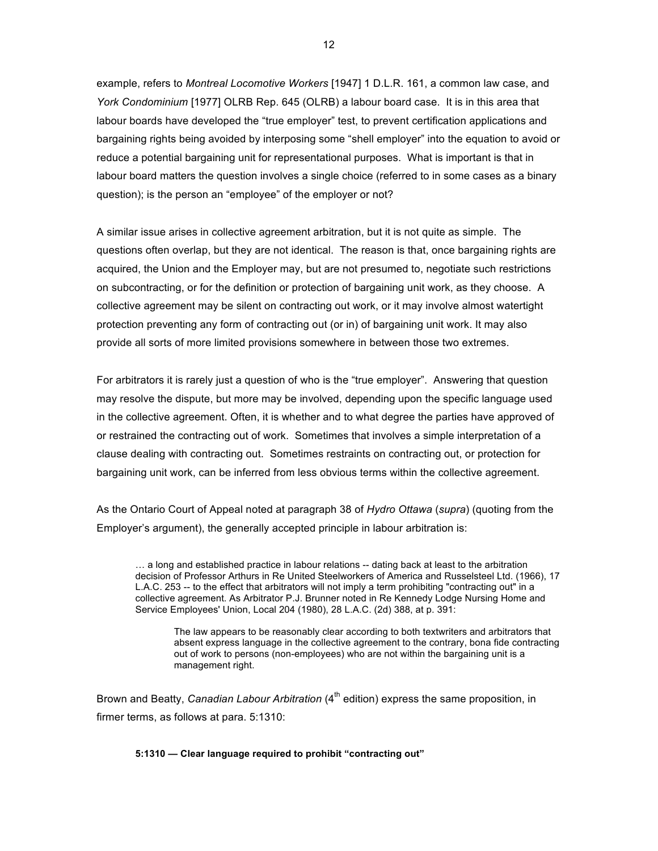example, refers to *Montreal Locomotive Workers* [1947] 1 D.L.R. 161, a common law case, and *York Condominium* [1977] OLRB Rep. 645 (OLRB) a labour board case. It is in this area that labour boards have developed the "true employer" test, to prevent certification applications and bargaining rights being avoided by interposing some "shell employer" into the equation to avoid or reduce a potential bargaining unit for representational purposes. What is important is that in labour board matters the question involves a single choice (referred to in some cases as a binary question); is the person an "employee" of the employer or not?

A similar issue arises in collective agreement arbitration, but it is not quite as simple. The questions often overlap, but they are not identical. The reason is that, once bargaining rights are acquired, the Union and the Employer may, but are not presumed to, negotiate such restrictions on subcontracting, or for the definition or protection of bargaining unit work, as they choose. A collective agreement may be silent on contracting out work, or it may involve almost watertight protection preventing any form of contracting out (or in) of bargaining unit work. It may also provide all sorts of more limited provisions somewhere in between those two extremes.

For arbitrators it is rarely just a question of who is the "true employer". Answering that question may resolve the dispute, but more may be involved, depending upon the specific language used in the collective agreement. Often, it is whether and to what degree the parties have approved of or restrained the contracting out of work. Sometimes that involves a simple interpretation of a clause dealing with contracting out. Sometimes restraints on contracting out, or protection for bargaining unit work, can be inferred from less obvious terms within the collective agreement.

As the Ontario Court of Appeal noted at paragraph 38 of *Hydro Ottawa* (*supra*) (quoting from the Employer's argument), the generally accepted principle in labour arbitration is:

… a long and established practice in labour relations -- dating back at least to the arbitration decision of Professor Arthurs in Re United Steelworkers of America and Russelsteel Ltd. (1966), 17 L.A.C. 253 -- to the effect that arbitrators will not imply a term prohibiting "contracting out" in a collective agreement. As Arbitrator P.J. Brunner noted in Re Kennedy Lodge Nursing Home and Service Employees' Union, Local 204 (1980), 28 L.A.C. (2d) 388, at p. 391:

The law appears to be reasonably clear according to both textwriters and arbitrators that absent express language in the collective agreement to the contrary, bona fide contracting out of work to persons (non-employees) who are not within the bargaining unit is a management right.

Brown and Beatty, *Canadian Labour Arbitration* (4<sup>th</sup> edition) express the same proposition, in firmer terms, as follows at para. 5:1310:

#### **5:1310 — Clear language required to prohibit "contracting out"**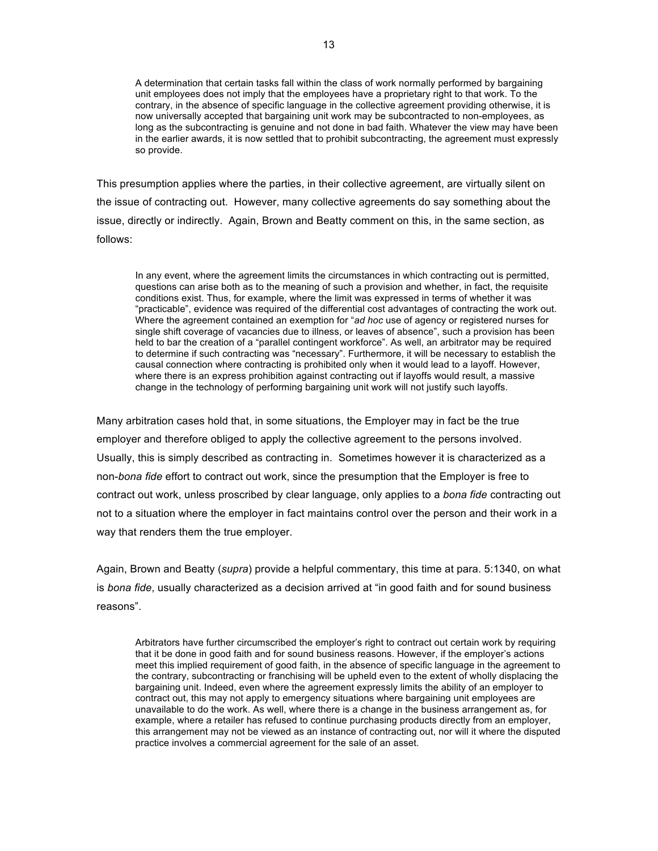A determination that certain tasks fall within the class of work normally performed by bargaining unit employees does not imply that the employees have a proprietary right to that work. To the contrary, in the absence of specific language in the collective agreement providing otherwise, it is now universally accepted that bargaining unit work may be subcontracted to non-employees, as long as the subcontracting is genuine and not done in bad faith. Whatever the view may have been in the earlier awards, it is now settled that to prohibit subcontracting, the agreement must expressly so provide.

This presumption applies where the parties, in their collective agreement, are virtually silent on the issue of contracting out. However, many collective agreements do say something about the issue, directly or indirectly. Again, Brown and Beatty comment on this, in the same section, as follows:

In any event, where the agreement limits the circumstances in which contracting out is permitted, questions can arise both as to the meaning of such a provision and whether, in fact, the requisite conditions exist. Thus, for example, where the limit was expressed in terms of whether it was "practicable", evidence was required of the differential cost advantages of contracting the work out. Where the agreement contained an exemption for "*ad hoc* use of agency or registered nurses for single shift coverage of vacancies due to illness, or leaves of absence", such a provision has been held to bar the creation of a "parallel contingent workforce". As well, an arbitrator may be required to determine if such contracting was "necessary". Furthermore, it will be necessary to establish the causal connection where contracting is prohibited only when it would lead to a layoff. However, where there is an express prohibition against contracting out if layoffs would result, a massive change in the technology of performing bargaining unit work will not justify such layoffs.

Many arbitration cases hold that, in some situations, the Employer may in fact be the true employer and therefore obliged to apply the collective agreement to the persons involved. Usually, this is simply described as contracting in. Sometimes however it is characterized as a non-*bona fide* effort to contract out work, since the presumption that the Employer is free to contract out work, unless proscribed by clear language, only applies to a *bona fide* contracting out not to a situation where the employer in fact maintains control over the person and their work in a way that renders them the true employer.

Again, Brown and Beatty (*supra*) provide a helpful commentary, this time at para. 5:1340, on what is *bona fide*, usually characterized as a decision arrived at "in good faith and for sound business reasons".

Arbitrators have further circumscribed the employer's right to contract out certain work by requiring that it be done in good faith and for sound business reasons. However, if the employer's actions meet this implied requirement of good faith, in the absence of specific language in the agreement to the contrary, subcontracting or franchising will be upheld even to the extent of wholly displacing the bargaining unit. Indeed, even where the agreement expressly limits the ability of an employer to contract out, this may not apply to emergency situations where bargaining unit employees are unavailable to do the work. As well, where there is a change in the business arrangement as, for example, where a retailer has refused to continue purchasing products directly from an employer, this arrangement may not be viewed as an instance of contracting out, nor will it where the disputed practice involves a commercial agreement for the sale of an asset.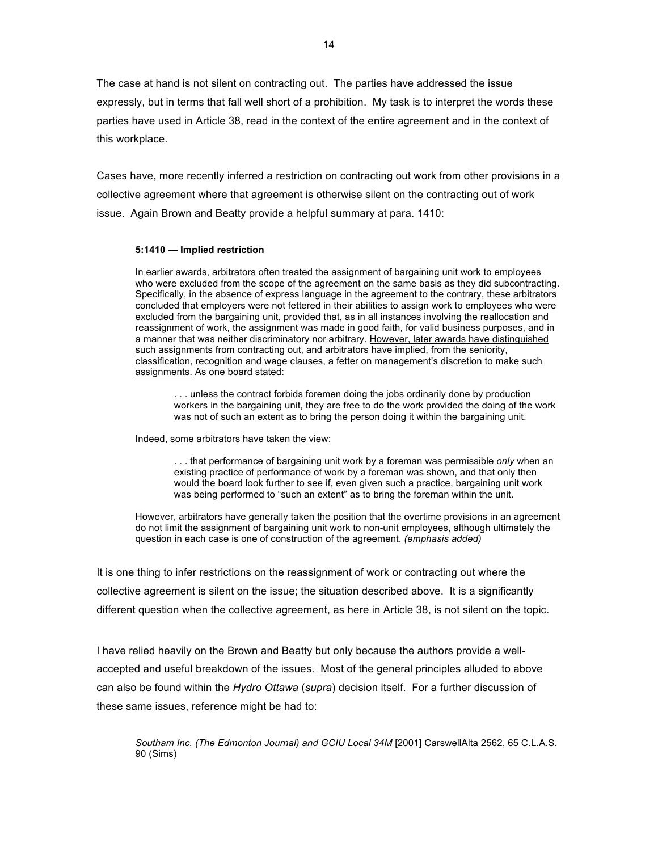The case at hand is not silent on contracting out. The parties have addressed the issue expressly, but in terms that fall well short of a prohibition. My task is to interpret the words these parties have used in Article 38, read in the context of the entire agreement and in the context of this workplace.

Cases have, more recently inferred a restriction on contracting out work from other provisions in a collective agreement where that agreement is otherwise silent on the contracting out of work issue. Again Brown and Beatty provide a helpful summary at para. 1410:

#### **5:1410 — Implied restriction**

In earlier awards, arbitrators often treated the assignment of bargaining unit work to employees who were excluded from the scope of the agreement on the same basis as they did subcontracting. Specifically, in the absence of express language in the agreement to the contrary, these arbitrators concluded that employers were not fettered in their abilities to assign work to employees who were excluded from the bargaining unit, provided that, as in all instances involving the reallocation and reassignment of work, the assignment was made in good faith, for valid business purposes, and in a manner that was neither discriminatory nor arbitrary. However, later awards have distinguished such assignments from contracting out, and arbitrators have implied, from the seniority, classification, recognition and wage clauses, a fetter on management's discretion to make such assignments. As one board stated:

. . . unless the contract forbids foremen doing the jobs ordinarily done by production workers in the bargaining unit, they are free to do the work provided the doing of the work was not of such an extent as to bring the person doing it within the bargaining unit.

Indeed, some arbitrators have taken the view:

. . . that performance of bargaining unit work by a foreman was permissible *only* when an existing practice of performance of work by a foreman was shown, and that only then would the board look further to see if, even given such a practice, bargaining unit work was being performed to "such an extent" as to bring the foreman within the unit.

However, arbitrators have generally taken the position that the overtime provisions in an agreement do not limit the assignment of bargaining unit work to non-unit employees, although ultimately the question in each case is one of construction of the agreement. *(emphasis added)*

It is one thing to infer restrictions on the reassignment of work or contracting out where the collective agreement is silent on the issue; the situation described above. It is a significantly different question when the collective agreement, as here in Article 38, is not silent on the topic.

I have relied heavily on the Brown and Beatty but only because the authors provide a wellaccepted and useful breakdown of the issues. Most of the general principles alluded to above can also be found within the *Hydro Ottawa* (*supra*) decision itself. For a further discussion of these same issues, reference might be had to:

Southam Inc. (The Edmonton Journal) and GCIU Local 34M [2001] CarswellAlta 2562, 65 C.L.A.S. 90 (Sims)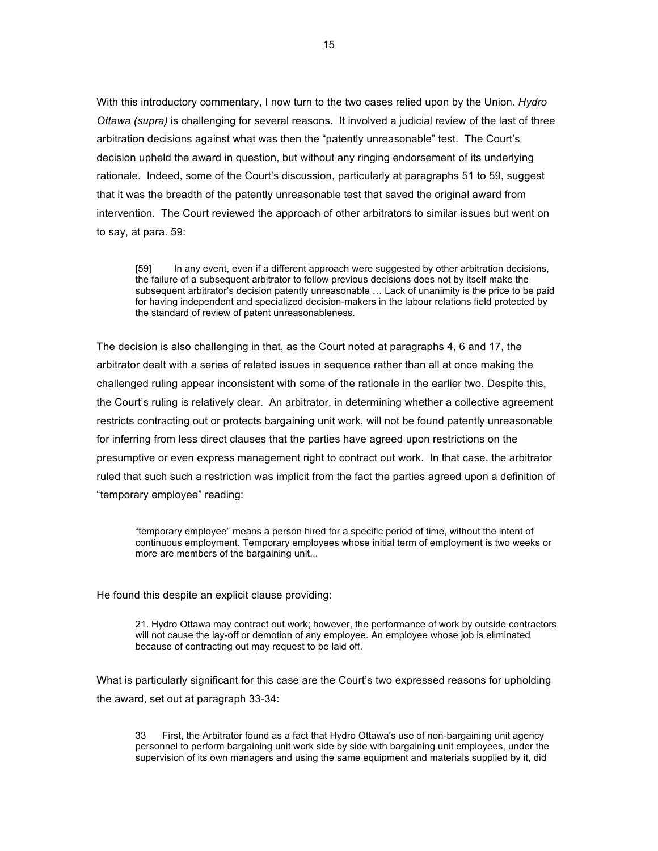With this introductory commentary, I now turn to the two cases relied upon by the Union. *Hydro Ottawa (supra)* is challenging for several reasons. It involved a judicial review of the last of three arbitration decisions against what was then the "patently unreasonable" test. The Court's decision upheld the award in question, but without any ringing endorsement of its underlying rationale. Indeed, some of the Court's discussion, particularly at paragraphs 51 to 59, suggest that it was the breadth of the patently unreasonable test that saved the original award from intervention. The Court reviewed the approach of other arbitrators to similar issues but went on to say, at para. 59:

[59] In any event, even if a different approach were suggested by other arbitration decisions, the failure of a subsequent arbitrator to follow previous decisions does not by itself make the subsequent arbitrator's decision patently unreasonable … Lack of unanimity is the price to be paid for having independent and specialized decision-makers in the labour relations field protected by the standard of review of patent unreasonableness.

The decision is also challenging in that, as the Court noted at paragraphs 4, 6 and 17, the arbitrator dealt with a series of related issues in sequence rather than all at once making the challenged ruling appear inconsistent with some of the rationale in the earlier two. Despite this, the Court's ruling is relatively clear. An arbitrator, in determining whether a collective agreement restricts contracting out or protects bargaining unit work, will not be found patently unreasonable for inferring from less direct clauses that the parties have agreed upon restrictions on the presumptive or even express management right to contract out work. In that case, the arbitrator ruled that such such a restriction was implicit from the fact the parties agreed upon a definition of "temporary employee" reading:

"temporary employee" means a person hired for a specific period of time, without the intent of continuous employment. Temporary employees whose initial term of employment is two weeks or more are members of the bargaining unit...

He found this despite an explicit clause providing:

21. Hydro Ottawa may contract out work; however, the performance of work by outside contractors will not cause the lay-off or demotion of any employee. An employee whose job is eliminated because of contracting out may request to be laid off.

What is particularly significant for this case are the Court's two expressed reasons for upholding the award, set out at paragraph 33-34:

33 First, the Arbitrator found as a fact that Hydro Ottawa's use of non-bargaining unit agency personnel to perform bargaining unit work side by side with bargaining unit employees, under the supervision of its own managers and using the same equipment and materials supplied by it, did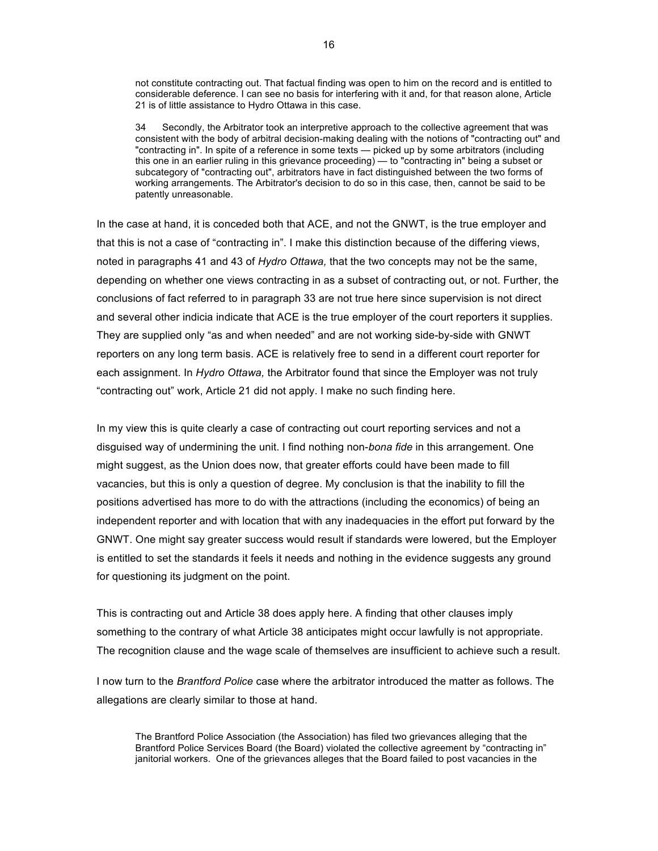not constitute contracting out. That factual finding was open to him on the record and is entitled to considerable deference. I can see no basis for interfering with it and, for that reason alone, Article 21 is of little assistance to Hydro Ottawa in this case.

34 Secondly, the Arbitrator took an interpretive approach to the collective agreement that was consistent with the body of arbitral decision-making dealing with the notions of "contracting out" and "contracting in". In spite of a reference in some texts — picked up by some arbitrators (including this one in an earlier ruling in this grievance proceeding) — to "contracting in" being a subset or subcategory of "contracting out", arbitrators have in fact distinguished between the two forms of working arrangements. The Arbitrator's decision to do so in this case, then, cannot be said to be patently unreasonable.

In the case at hand, it is conceded both that ACE, and not the GNWT, is the true employer and that this is not a case of "contracting in". I make this distinction because of the differing views, noted in paragraphs 41 and 43 of *Hydro Ottawa,* that the two concepts may not be the same, depending on whether one views contracting in as a subset of contracting out, or not. Further, the conclusions of fact referred to in paragraph 33 are not true here since supervision is not direct and several other indicia indicate that ACE is the true employer of the court reporters it supplies. They are supplied only "as and when needed" and are not working side-by-side with GNWT reporters on any long term basis. ACE is relatively free to send in a different court reporter for each assignment. In *Hydro Ottawa,* the Arbitrator found that since the Employer was not truly "contracting out" work, Article 21 did not apply. I make no such finding here.

In my view this is quite clearly a case of contracting out court reporting services and not a disguised way of undermining the unit. I find nothing non-*bona fide* in this arrangement. One might suggest, as the Union does now, that greater efforts could have been made to fill vacancies, but this is only a question of degree. My conclusion is that the inability to fill the positions advertised has more to do with the attractions (including the economics) of being an independent reporter and with location that with any inadequacies in the effort put forward by the GNWT. One might say greater success would result if standards were lowered, but the Employer is entitled to set the standards it feels it needs and nothing in the evidence suggests any ground for questioning its judgment on the point.

This is contracting out and Article 38 does apply here. A finding that other clauses imply something to the contrary of what Article 38 anticipates might occur lawfully is not appropriate. The recognition clause and the wage scale of themselves are insufficient to achieve such a result.

I now turn to the *Brantford Police* case where the arbitrator introduced the matter as follows. The allegations are clearly similar to those at hand.

The Brantford Police Association (the Association) has filed two grievances alleging that the Brantford Police Services Board (the Board) violated the collective agreement by "contracting in" janitorial workers. One of the grievances alleges that the Board failed to post vacancies in the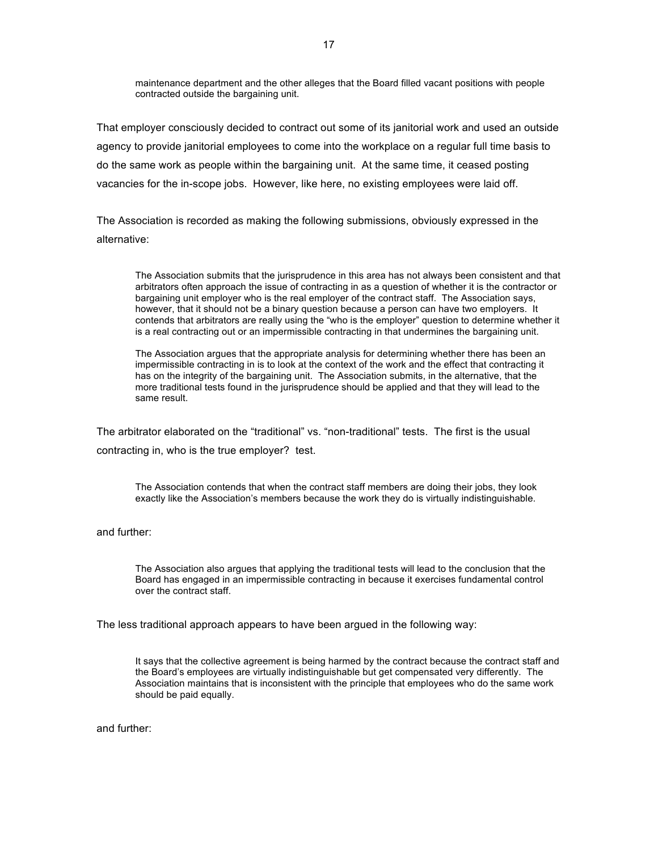maintenance department and the other alleges that the Board filled vacant positions with people contracted outside the bargaining unit.

That employer consciously decided to contract out some of its janitorial work and used an outside agency to provide janitorial employees to come into the workplace on a regular full time basis to do the same work as people within the bargaining unit. At the same time, it ceased posting vacancies for the in-scope jobs. However, like here, no existing employees were laid off.

The Association is recorded as making the following submissions, obviously expressed in the alternative:

The Association submits that the jurisprudence in this area has not always been consistent and that arbitrators often approach the issue of contracting in as a question of whether it is the contractor or bargaining unit employer who is the real employer of the contract staff. The Association says, however, that it should not be a binary question because a person can have two employers. It contends that arbitrators are really using the "who is the employer" question to determine whether it is a real contracting out or an impermissible contracting in that undermines the bargaining unit.

The Association argues that the appropriate analysis for determining whether there has been an impermissible contracting in is to look at the context of the work and the effect that contracting it has on the integrity of the bargaining unit. The Association submits, in the alternative, that the more traditional tests found in the jurisprudence should be applied and that they will lead to the same result.

The arbitrator elaborated on the "traditional" vs. "non-traditional" tests. The first is the usual contracting in, who is the true employer? test.

The Association contends that when the contract staff members are doing their jobs, they look exactly like the Association's members because the work they do is virtually indistinguishable.

and further:

The Association also argues that applying the traditional tests will lead to the conclusion that the Board has engaged in an impermissible contracting in because it exercises fundamental control over the contract staff.

The less traditional approach appears to have been argued in the following way:

It says that the collective agreement is being harmed by the contract because the contract staff and the Board's employees are virtually indistinguishable but get compensated very differently. The Association maintains that is inconsistent with the principle that employees who do the same work should be paid equally.

and further: